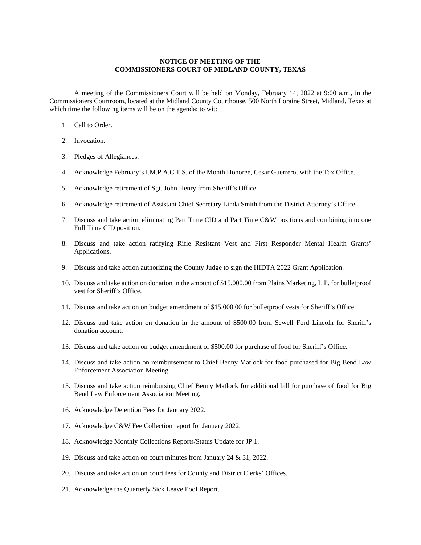## **NOTICE OF MEETING OF THE COMMISSIONERS COURT OF MIDLAND COUNTY, TEXAS**

A meeting of the Commissioners Court will be held on Monday, February 14, 2022 at 9:00 a.m., in the Commissioners Courtroom, located at the Midland County Courthouse, 500 North Loraine Street, Midland, Texas at which time the following items will be on the agenda; to wit:

- 1. Call to Order.
- 2. Invocation.
- 3. Pledges of Allegiances.
- 4. Acknowledge February's I.M.P.A.C.T.S. of the Month Honoree, Cesar Guerrero, with the Tax Office.
- 5. Acknowledge retirement of Sgt. John Henry from Sheriff's Office.
- 6. Acknowledge retirement of Assistant Chief Secretary Linda Smith from the District Attorney's Office.
- 7. Discuss and take action eliminating Part Time CID and Part Time C&W positions and combining into one Full Time CID position.
- 8. Discuss and take action ratifying Rifle Resistant Vest and First Responder Mental Health Grants' Applications.
- 9. Discuss and take action authorizing the County Judge to sign the HIDTA 2022 Grant Application.
- 10. Discuss and take action on donation in the amount of \$15,000.00 from Plains Marketing, L.P. for bulletproof vest for Sheriff's Office.
- 11. Discuss and take action on budget amendment of \$15,000.00 for bulletproof vests for Sheriff's Office.
- 12. Discuss and take action on donation in the amount of \$500.00 from Sewell Ford Lincoln for Sheriff's donation account.
- 13. Discuss and take action on budget amendment of \$500.00 for purchase of food for Sheriff's Office.
- 14. Discuss and take action on reimbursement to Chief Benny Matlock for food purchased for Big Bend Law Enforcement Association Meeting.
- 15. Discuss and take action reimbursing Chief Benny Matlock for additional bill for purchase of food for Big Bend Law Enforcement Association Meeting.
- 16. Acknowledge Detention Fees for January 2022.
- 17. Acknowledge C&W Fee Collection report for January 2022.
- 18. Acknowledge Monthly Collections Reports/Status Update for JP 1.
- 19. Discuss and take action on court minutes from January 24 & 31, 2022.
- 20. Discuss and take action on court fees for County and District Clerks' Offices.
- 21. Acknowledge the Quarterly Sick Leave Pool Report.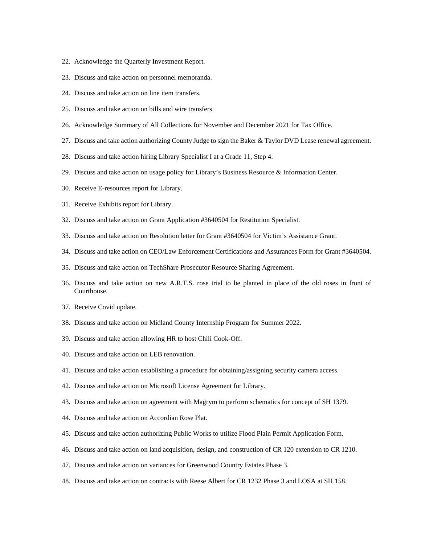- 22. Acknowledge the Quarterly Investment Report.
- 23. Discuss and take action on personnel memoranda.
- 24. Discuss and take action on line item transfers.
- 25. Discuss and take action on bills and wire transfers.
- 26. Acknowledge Summary of All Collections for November and December 2021 for Tax Office.
- 27. Discuss and take action authorizing County Judge to sign the Baker & Taylor DVD Lease renewal agreement.
- 28. Discuss and take action hiring Library Specialist I at a Grade 11, Step 4.
- 29. Discuss and take action on usage policy for Library's Business Resource & Information Center.
- 30. Receive E-resources report for Library.
- 31. Receive Exhibits report for Library.
- 32. Discuss and take action on Grant Application #3640504 for Restitution Specialist.
- 33. Discuss and take action on Resolution letter for Grant #3640504 for Victim's Assistance Grant.
- 34. Discuss and take action on CEO/Law Enforcement Certifications and Assurances Form for Grant #3640504.
- 35. Discuss and take action on TechShare Prosecutor Resource Sharing Agreement.
- 36. Discuss and take action on new A.R.T.S. rose trial to be planted in place of the old roses in front of Courthouse.
- 37. Receive Covid update.
- 38. Discuss and take action on Midland County Internship Program for Summer 2022.
- 39. Discuss and take action allowing HR to host Chili Cook-Off.
- 40. Discuss and take action on LEB renovation.
- 41. Discuss and take action establishing a procedure for obtaining/assigning security camera access.
- 42. Discuss and take action on Microsoft License Agreement for Library.
- 43. Discuss and take action on agreement with Magrym to perform schematics for concept of SH 1379.
- 44. Discuss and take action on Accordian Rose Plat.
- 45. Discuss and take action authorizing Public Works to utilize Flood Plain Permit Application Form.
- 46. Discuss and take action on land acquisition, design, and construction of CR 120 extension to CR 1210.
- 47. Discuss and take action on variances for Greenwood Country Estates Phase 3.
- 48. Discuss and take action on contracts with Reese Albert for CR 1232 Phase 3 and LOSA at SH 158.